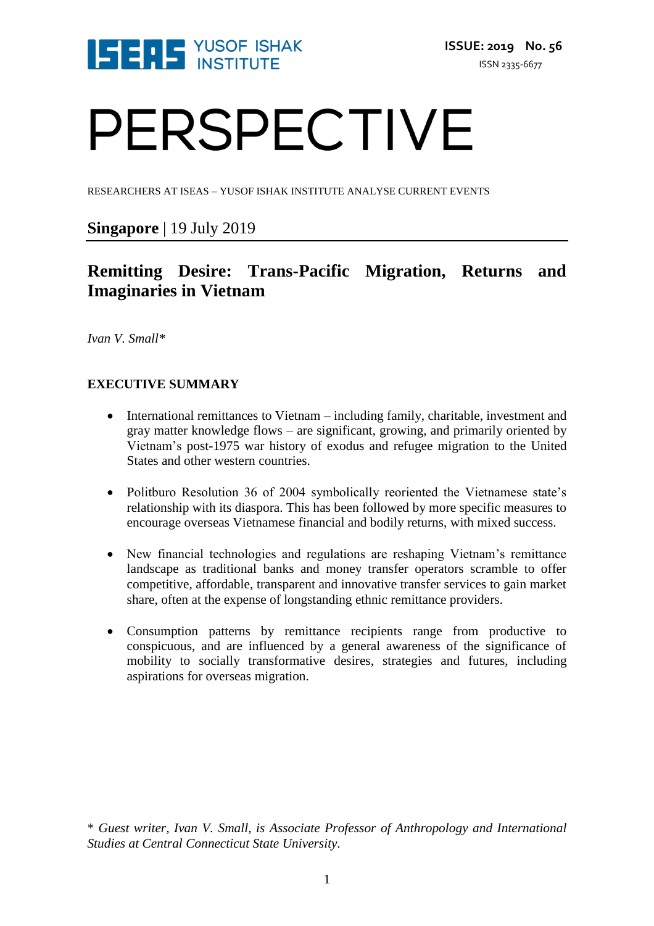

# PERSPECTIVE

RESEARCHERS AT ISEAS – YUSOF ISHAK INSTITUTE ANALYSE CURRENT EVENTS

### **Singapore** | 19 July 2019

## **Remitting Desire: Trans-Pacific Migration, Returns and Imaginaries in Vietnam**

*Ivan V. Small\**

#### **EXECUTIVE SUMMARY**

- International remittances to Vietnam including family, charitable, investment and gray matter knowledge flows – are significant, growing, and primarily oriented by Vietnam's post-1975 war history of exodus and refugee migration to the United States and other western countries.
- Politburo Resolution 36 of 2004 symbolically reoriented the Vietnamese state's relationship with its diaspora. This has been followed by more specific measures to encourage overseas Vietnamese financial and bodily returns, with mixed success.
- New financial technologies and regulations are reshaping Vietnam's remittance landscape as traditional banks and money transfer operators scramble to offer competitive, affordable, transparent and innovative transfer services to gain market share, often at the expense of longstanding ethnic remittance providers.
- Consumption patterns by remittance recipients range from productive to conspicuous, and are influenced by a general awareness of the significance of mobility to socially transformative desires, strategies and futures, including aspirations for overseas migration.

\* *Guest writer, Ivan V. Small, is Associate Professor of Anthropology and International Studies at Central Connecticut State University.*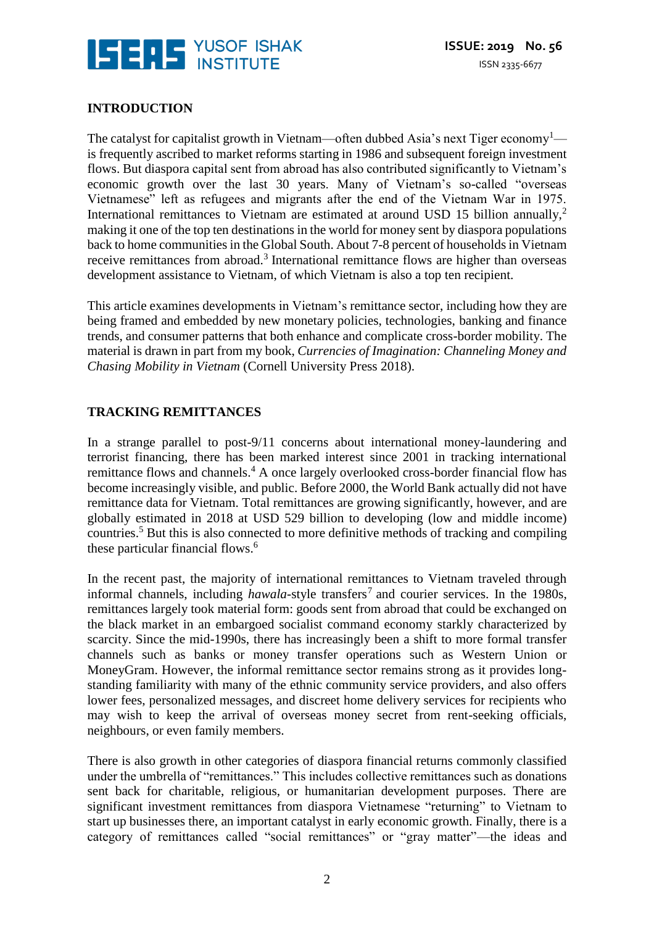

#### **INTRODUCTION**

The catalyst for capitalist growth in Vietnam—often dubbed Asia's next Tiger economy<sup>1</sup> is frequently ascribed to market reforms starting in 1986 and subsequent foreign investment flows. But diaspora capital sent from abroad has also contributed significantly to Vietnam's economic growth over the last 30 years. Many of Vietnam's so-called "overseas Vietnamese" left as refugees and migrants after the end of the Vietnam War in 1975. International remittances to Vietnam are estimated at around USD 15 billion annually,<sup>2</sup> making it one of the top ten destinations in the world for money sent by diaspora populations back to home communities in the Global South. About 7-8 percent of households in Vietnam receive remittances from abroad.<sup>3</sup> International remittance flows are higher than overseas development assistance to Vietnam, of which Vietnam is also a top ten recipient.

This article examines developments in Vietnam's remittance sector, including how they are being framed and embedded by new monetary policies, technologies, banking and finance trends, and consumer patterns that both enhance and complicate cross-border mobility. The material is drawn in part from my book, *Currencies of Imagination: Channeling Money and Chasing Mobility in Vietnam* (Cornell University Press 2018).

#### **TRACKING REMITTANCES**

In a strange parallel to post-9/11 concerns about international money-laundering and terrorist financing, there has been marked interest since 2001 in tracking international remittance flows and channels.<sup>4</sup> A once largely overlooked cross-border financial flow has become increasingly visible, and public. Before 2000, the World Bank actually did not have remittance data for Vietnam. Total remittances are growing significantly, however, and are globally estimated in 2018 at USD 529 billion to developing (low and middle income) countries. <sup>5</sup> But this is also connected to more definitive methods of tracking and compiling these particular financial flows.<sup>6</sup>

In the recent past, the majority of international remittances to Vietnam traveled through informal channels, including *hawala*-style transfers<sup>7</sup> and courier services. In the 1980s, remittances largely took material form: goods sent from abroad that could be exchanged on the black market in an embargoed socialist command economy starkly characterized by scarcity. Since the mid-1990s, there has increasingly been a shift to more formal transfer channels such as banks or money transfer operations such as Western Union or MoneyGram. However, the informal remittance sector remains strong as it provides longstanding familiarity with many of the ethnic community service providers, and also offers lower fees, personalized messages, and discreet home delivery services for recipients who may wish to keep the arrival of overseas money secret from rent-seeking officials, neighbours, or even family members.

There is also growth in other categories of diaspora financial returns commonly classified under the umbrella of "remittances." This includes collective remittances such as donations sent back for charitable, religious, or humanitarian development purposes. There are significant investment remittances from diaspora Vietnamese "returning" to Vietnam to start up businesses there, an important catalyst in early economic growth. Finally, there is a category of remittances called "social remittances" or "gray matter"—the ideas and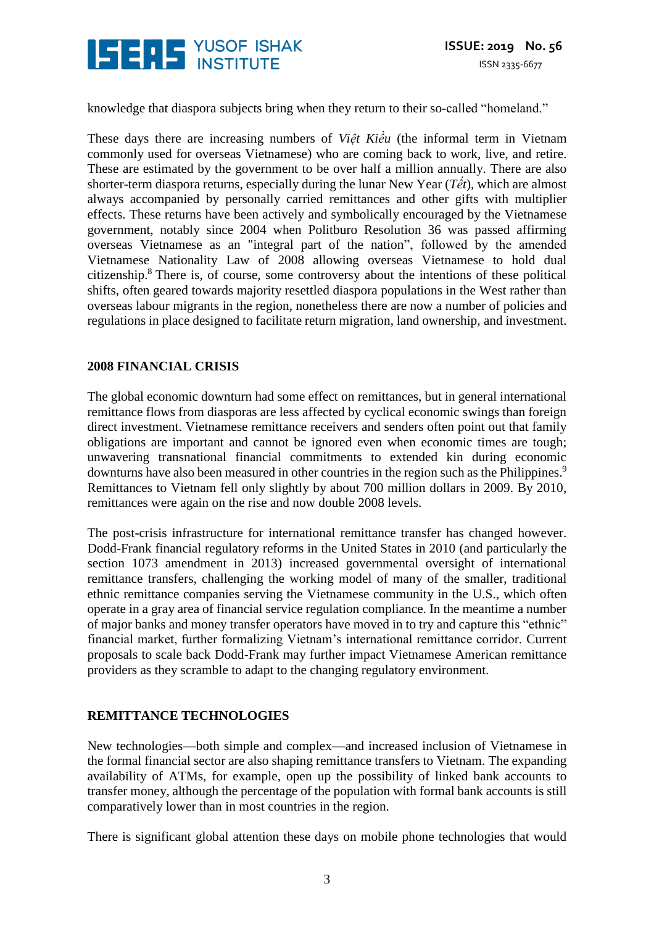

knowledge that diaspora subjects bring when they return to their so-called "homeland."

These days there are increasing numbers of *Việt Kiều* (the informal term in Vietnam commonly used for overseas Vietnamese) who are coming back to work, live, and retire. These are estimated by the government to be over half a million annually. There are also shorter-term diaspora returns, especially during the lunar New Year (*Tết*), which are almost always accompanied by personally carried remittances and other gifts with multiplier effects. These returns have been actively and symbolically encouraged by the Vietnamese government, notably since 2004 when Politburo Resolution 36 was passed affirming overseas Vietnamese as an "integral part of the nation", followed by the amended Vietnamese Nationality Law of 2008 allowing overseas Vietnamese to hold dual citizenship.<sup>8</sup> There is, of course, some controversy about the intentions of these political shifts, often geared towards majority resettled diaspora populations in the West rather than overseas labour migrants in the region, nonetheless there are now a number of policies and regulations in place designed to facilitate return migration, land ownership, and investment.

#### **2008 FINANCIAL CRISIS**

The global economic downturn had some effect on remittances, but in general international remittance flows from diasporas are less affected by cyclical economic swings than foreign direct investment. Vietnamese remittance receivers and senders often point out that family obligations are important and cannot be ignored even when economic times are tough; unwavering transnational financial commitments to extended kin during economic downturns have also been measured in other countries in the region such as the Philippines.<sup>9</sup> Remittances to Vietnam fell only slightly by about 700 million dollars in 2009. By 2010, remittances were again on the rise and now double 2008 levels.

The post-crisis infrastructure for international remittance transfer has changed however. Dodd-Frank financial regulatory reforms in the United States in 2010 (and particularly the section 1073 amendment in 2013) increased governmental oversight of international remittance transfers, challenging the working model of many of the smaller, traditional ethnic remittance companies serving the Vietnamese community in the U.S., which often operate in a gray area of financial service regulation compliance. In the meantime a number of major banks and money transfer operators have moved in to try and capture this "ethnic" financial market, further formalizing Vietnam's international remittance corridor. Current proposals to scale back Dodd-Frank may further impact Vietnamese American remittance providers as they scramble to adapt to the changing regulatory environment.

#### **REMITTANCE TECHNOLOGIES**

New technologies—both simple and complex—and increased inclusion of Vietnamese in the formal financial sector are also shaping remittance transfers to Vietnam. The expanding availability of ATMs, for example, open up the possibility of linked bank accounts to transfer money, although the percentage of the population with formal bank accounts is still comparatively lower than in most countries in the region.

There is significant global attention these days on mobile phone technologies that would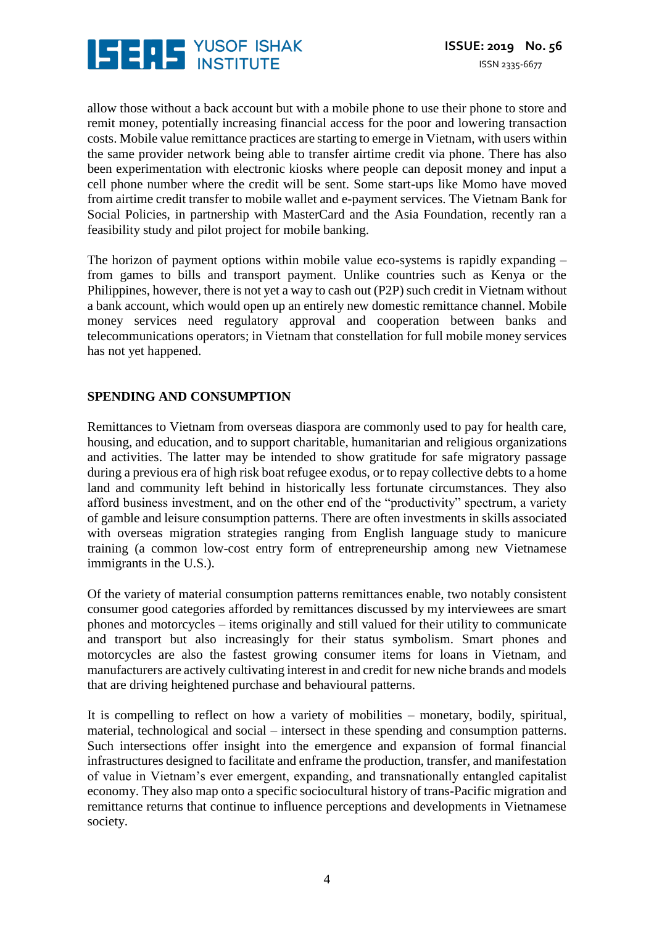

allow those without a back account but with a mobile phone to use their phone to store and remit money, potentially increasing financial access for the poor and lowering transaction costs. Mobile value remittance practices are starting to emerge in Vietnam, with users within the same provider network being able to transfer airtime credit via phone. There has also been experimentation with electronic kiosks where people can deposit money and input a cell phone number where the credit will be sent. Some start-ups like Momo have moved from airtime credit transfer to mobile wallet and e-payment services. The Vietnam Bank for Social Policies, in partnership with MasterCard and the Asia Foundation, recently ran a feasibility study and pilot project for mobile banking.

The horizon of payment options within mobile value eco-systems is rapidly expanding – from games to bills and transport payment. Unlike countries such as Kenya or the Philippines, however, there is not yet a way to cash out (P2P) such credit in Vietnam without a bank account, which would open up an entirely new domestic remittance channel. Mobile money services need regulatory approval and cooperation between banks and telecommunications operators; in Vietnam that constellation for full mobile money services has not yet happened.

#### **SPENDING AND CONSUMPTION**

Remittances to Vietnam from overseas diaspora are commonly used to pay for health care, housing, and education, and to support charitable, humanitarian and religious organizations and activities. The latter may be intended to show gratitude for safe migratory passage during a previous era of high risk boat refugee exodus, or to repay collective debts to a home land and community left behind in historically less fortunate circumstances. They also afford business investment, and on the other end of the "productivity" spectrum, a variety of gamble and leisure consumption patterns. There are often investments in skills associated with overseas migration strategies ranging from English language study to manicure training (a common low-cost entry form of entrepreneurship among new Vietnamese immigrants in the U.S.).

Of the variety of material consumption patterns remittances enable, two notably consistent consumer good categories afforded by remittances discussed by my interviewees are smart phones and motorcycles – items originally and still valued for their utility to communicate and transport but also increasingly for their status symbolism. Smart phones and motorcycles are also the fastest growing consumer items for loans in Vietnam, and manufacturers are actively cultivating interest in and credit for new niche brands and models that are driving heightened purchase and behavioural patterns.

It is compelling to reflect on how a variety of mobilities – monetary, bodily, spiritual, material, technological and social – intersect in these spending and consumption patterns. Such intersections offer insight into the emergence and expansion of formal financial infrastructures designed to facilitate and enframe the production, transfer, and manifestation of value in Vietnam's ever emergent, expanding, and transnationally entangled capitalist economy. They also map onto a specific sociocultural history of trans-Pacific migration and remittance returns that continue to influence perceptions and developments in Vietnamese society.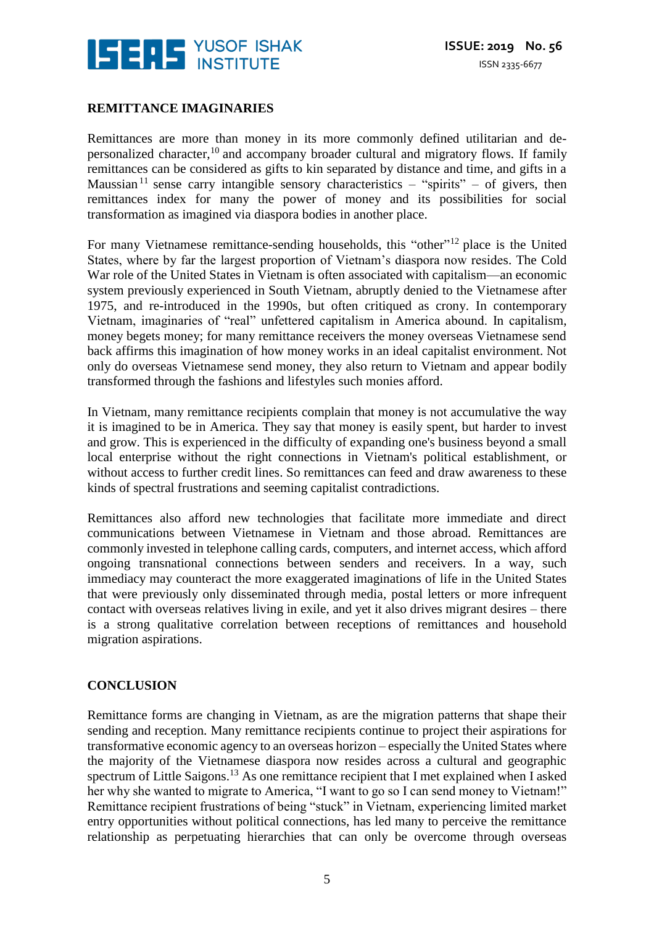

#### **REMITTANCE IMAGINARIES**

Remittances are more than money in its more commonly defined utilitarian and depersonalized character,<sup>10</sup> and accompany broader cultural and migratory flows. If family remittances can be considered as gifts to kin separated by distance and time, and gifts in a Maussian<sup>11</sup> sense carry intangible sensory characteristics – "spirits" – of givers, then remittances index for many the power of money and its possibilities for social transformation as imagined via diaspora bodies in another place.

For many Vietnamese remittance-sending households, this "other"<sup>12</sup> place is the United States, where by far the largest proportion of Vietnam's diaspora now resides. The Cold War role of the United States in Vietnam is often associated with capitalism—an economic system previously experienced in South Vietnam, abruptly denied to the Vietnamese after 1975, and re-introduced in the 1990s, but often critiqued as crony. In contemporary Vietnam, imaginaries of "real" unfettered capitalism in America abound. In capitalism, money begets money; for many remittance receivers the money overseas Vietnamese send back affirms this imagination of how money works in an ideal capitalist environment. Not only do overseas Vietnamese send money, they also return to Vietnam and appear bodily transformed through the fashions and lifestyles such monies afford.

In Vietnam, many remittance recipients complain that money is not accumulative the way it is imagined to be in America. They say that money is easily spent, but harder to invest and grow. This is experienced in the difficulty of expanding one's business beyond a small local enterprise without the right connections in Vietnam's political establishment, or without access to further credit lines. So remittances can feed and draw awareness to these kinds of spectral frustrations and seeming capitalist contradictions.

Remittances also afford new technologies that facilitate more immediate and direct communications between Vietnamese in Vietnam and those abroad. Remittances are commonly invested in telephone calling cards, computers, and internet access, which afford ongoing transnational connections between senders and receivers. In a way, such immediacy may counteract the more exaggerated imaginations of life in the United States that were previously only disseminated through media, postal letters or more infrequent contact with overseas relatives living in exile, and yet it also drives migrant desires – there is a strong qualitative correlation between receptions of remittances and household migration aspirations.

#### **CONCLUSION**

Remittance forms are changing in Vietnam, as are the migration patterns that shape their sending and reception. Many remittance recipients continue to project their aspirations for transformative economic agency to an overseas horizon – especially the United States where the majority of the Vietnamese diaspora now resides across a cultural and geographic spectrum of Little Saigons.<sup>13</sup> As one remittance recipient that I met explained when I asked her why she wanted to migrate to America, "I want to go so I can send money to Vietnam!" Remittance recipient frustrations of being "stuck" in Vietnam, experiencing limited market entry opportunities without political connections, has led many to perceive the remittance relationship as perpetuating hierarchies that can only be overcome through overseas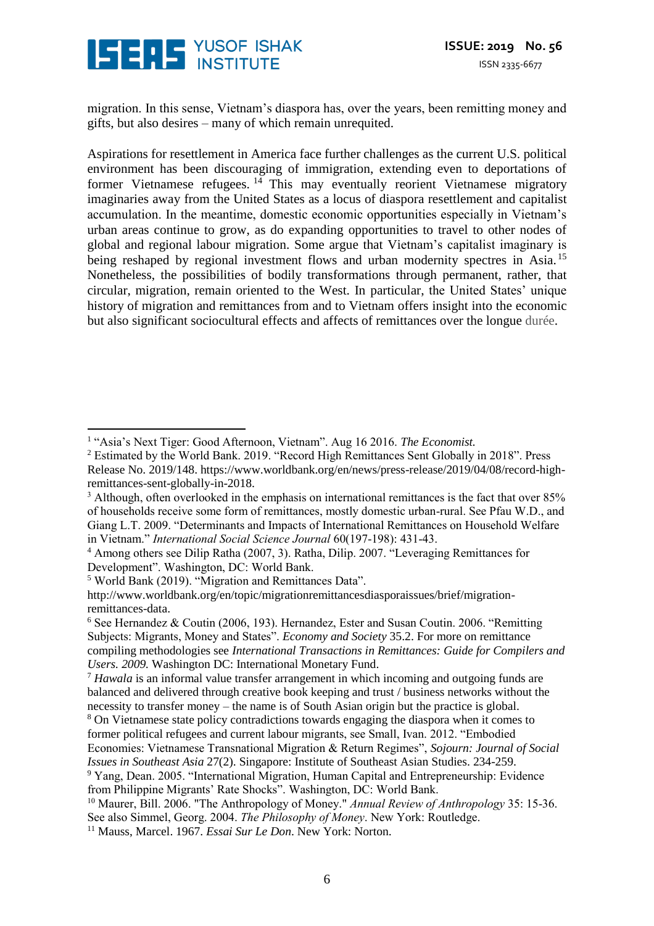

migration. In this sense, Vietnam's diaspora has, over the years, been remitting money and gifts, but also desires – many of which remain unrequited.

Aspirations for resettlement in America face further challenges as the current U.S. political environment has been discouraging of immigration, extending even to deportations of former Vietnamese refugees.  $14$  This may eventually reorient Vietnamese migratory imaginaries away from the United States as a locus of diaspora resettlement and capitalist accumulation. In the meantime, domestic economic opportunities especially in Vietnam's urban areas continue to grow, as do expanding opportunities to travel to other nodes of global and regional labour migration. Some argue that Vietnam's capitalist imaginary is being reshaped by regional investment flows and urban modernity spectres in Asia.<sup>15</sup> Nonetheless, the possibilities of bodily transformations through permanent, rather, that circular, migration, remain oriented to the West. In particular, the United States' unique history of migration and remittances from and to Vietnam offers insight into the economic but also significant sociocultural effects and affects of remittances over the longue durée.

<sup>1</sup> "Asia's Next Tiger: Good Afternoon, Vietnam". Aug 16 2016. *The Economist.*  $\overline{a}$ 

<sup>2</sup> Estimated by the World Bank. 2019. "Record High Remittances Sent Globally in 2018". Press Release No. 2019/148. https://www.worldbank.org/en/news/press-release/2019/04/08/record-highremittances-sent-globally-in-2018.

<sup>&</sup>lt;sup>3</sup> Although, often overlooked in the emphasis on international remittances is the fact that over 85% of households receive some form of remittances, mostly domestic urban-rural. See Pfau W.D., and Giang L.T. 2009. "Determinants and Impacts of International Remittances on Household Welfare in Vietnam." *International Social Science Journal* 60(197-198): 431-43.

<sup>4</sup> Among others see Dilip Ratha (2007, 3). Ratha, Dilip. 2007. "Leveraging Remittances for Development". Washington, DC: World Bank.

<sup>5</sup> World Bank (2019). "Migration and Remittances Data".

http://www.worldbank.org/en/topic/migrationremittancesdiasporaissues/brief/migrationremittances-data.

 $6$  See Hernandez & Coutin (2006, 193). Hernandez, Ester and Susan Coutin. 2006. "Remitting Subjects: Migrants, Money and States". *Economy and Society* 35.2. For more on remittance compiling methodologies see *International Transactions in Remittances: Guide for Compilers and Users. 2009.* Washington DC: International Monetary Fund.

<sup>7</sup> *Hawala* is an informal value transfer arrangement in which incoming and outgoing funds are balanced and delivered through creative book keeping and trust / business networks without the necessity to transfer money – the name is of South Asian origin but the practice is global.

<sup>8</sup> On Vietnamese state policy contradictions towards engaging the diaspora when it comes to former political refugees and current labour migrants, see Small, Ivan. 2012. "Embodied

Economies: Vietnamese Transnational Migration & Return Regimes", *Sojourn: Journal of Social Issues in Southeast Asia* 27(2). Singapore: Institute of Southeast Asian Studies. 234-259.

<sup>&</sup>lt;sup>9</sup> Yang, Dean. 2005. "International Migration, Human Capital and Entrepreneurship: Evidence from Philippine Migrants' Rate Shocks". Washington, DC: World Bank.

<sup>10</sup> Maurer, Bill. 2006. "The Anthropology of Money." *Annual Review of Anthropology* 35: 15-36. See also Simmel, Georg. 2004. *The Philosophy of Money*. New York: Routledge.

<sup>11</sup> Mauss, Marcel. 1967. *Essai Sur Le Don*. New York: Norton.